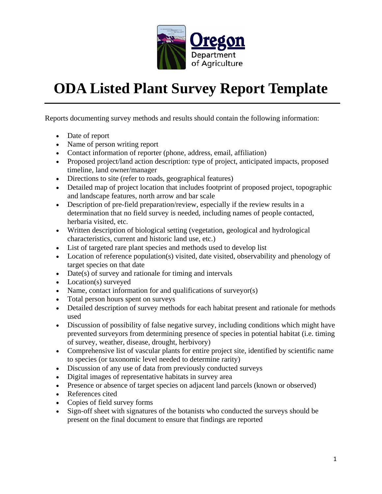

## **ODA Listed Plant Survey Report Template**

Reports documenting survey methods and results should contain the following information:

- Date of report
- Name of person writing report
- Contact information of reporter (phone, address, email, affiliation)
- Proposed project/land action description: type of project, anticipated impacts, proposed timeline, land owner/manager
- Directions to site (refer to roads, geographical features)
- Detailed map of project location that includes footprint of proposed project, topographic and landscape features, north arrow and bar scale
- Description of pre-field preparation/review, especially if the review results in a determination that no field survey is needed, including names of people contacted, herbaria visited, etc.
- Written description of biological setting (vegetation, geological and hydrological characteristics, current and historic land use, etc.)
- List of targeted rare plant species and methods used to develop list
- Location of reference population(s) visited, date visited, observability and phenology of target species on that date
- $\bullet$  Date(s) of survey and rationale for timing and intervals
- Location(s) surveyed
- Name, contact information for and qualifications of surveyor(s)
- Total person hours spent on surveys
- Detailed description of survey methods for each habitat present and rationale for methods used
- Discussion of possibility of false negative survey, including conditions which might have prevented surveyors from determining presence of species in potential habitat (i.e. timing of survey, weather, disease, drought, herbivory)
- Comprehensive list of vascular plants for entire project site, identified by scientific name to species (or taxonomic level needed to determine rarity)
- Discussion of any use of data from previously conducted surveys
- Digital images of representative habitats in survey area
- Presence or absence of target species on adjacent land parcels (known or observed)
- References cited
- Copies of field survey forms
- Sign-off sheet with signatures of the botanists who conducted the surveys should be present on the final document to ensure that findings are reported